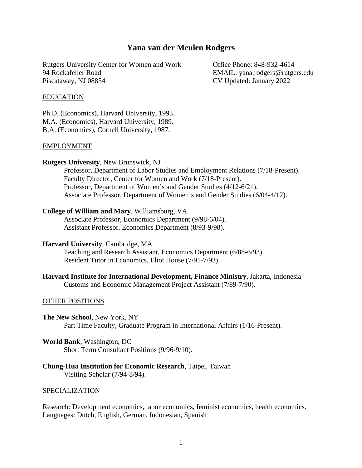# **Yana van der Meulen Rodgers**

Rutgers University Center for Women and Work Office Phone: 848-932-4614 94 Rockafeller Road EMAIL: yana.rodgers@rutgers.edu Piscataway, NJ 08854 CV Updated: January 2022

#### EDUCATION

Ph.D. (Economics), Harvard University, 1993. M.A. (Economics), Harvard University, 1989. B.A. (Economics), Cornell University, 1987.

#### EMPLOYMENT

#### **Rutgers University**, New Brunswick, NJ

Professor, Department of Labor Studies and Employment Relations (7/18-Present). Faculty Director, Center for Women and Work (7/18-Present). Professor, Department of Women's and Gender Studies (4/12-6/21). Associate Professor, Department of Women's and Gender Studies (6/04-4/12).

#### **College of William and Mary**, Williamsburg, VA

Associate Professor, Economics Department (9/98-6/04). Assistant Professor, Economics Department (8/93-9/98).

### **Harvard University**, Cambridge, MA

Teaching and Research Assistant, Economics Department (6/88-6/93). Resident Tutor in Economics, Eliot House (7/91-7/93).

**Harvard Institute for International Development, Finance Ministry**, Jakarta, Indonesia Customs and Economic Management Project Assistant (7/89-7/90).

#### OTHER POSITIONS

**The New School**, New York, NY

Part Time Faculty, Graduate Program in International Affairs (1/16-Present).

**World Bank**, Washington, DC

Short Term Consultant Positions (9/96-9/10).

**Chung-Hua Institution for Economic Research**, Taipei, Taiwan

Visiting Scholar (7/94-8/94).

#### SPECIALIZATION

Research: Development economics, labor economics, feminist economics, health economics. Languages: Dutch, English, German, Indonesian, Spanish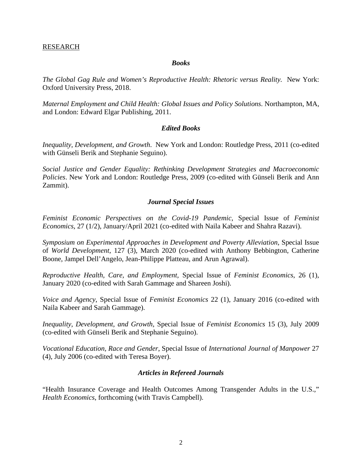### RESEARCH

#### *Books*

*The Global Gag Rule and Women's Reproductive Health: Rhetoric versus Reality.* New York: Oxford University Press, 2018.

*Maternal Employment and Child Health: Global Issues and Policy Solutions*. Northampton, MA, and London: Edward Elgar Publishing, 2011.

### *Edited Books*

*Inequality, Development, and Growth*. New York and London: Routledge Press, 2011 (co-edited with Günseli Berik and Stephanie Seguino).

*Social Justice and Gender Equality: Rethinking Development Strategies and Macroeconomic Policies*. New York and London: Routledge Press, 2009 (co-edited with Günseli Berik and Ann Zammit).

### *Journal Special Issues*

*Feminist Economic Perspectives on the Covid-19 Pandemic*, Special Issue of *Feminist Economics*, 27 (1/2), January/April 2021 (co-edited with Naila Kabeer and Shahra Razavi).

*Symposium on Experimental Approaches in Development and Poverty Alleviation*, Special Issue of *World Development*, 127 (3), March 2020 (co-edited with Anthony Bebbington, Catherine Boone, Jampel Dell'Angelo, Jean-Philippe Platteau, and Arun Agrawal).

*Reproductive Health, Care, and Employment,* Special Issue of *Feminist Economics*, 26 (1), January 2020 (co-edited with Sarah Gammage and Shareen Joshi).

*Voice and Agency*, Special Issue of *Feminist Economics* 22 (1), January 2016 (co-edited with Naila Kabeer and Sarah Gammage).

*Inequality, Development, and Growth*, Special Issue of *Feminist Economics* 15 (3), July 2009 (co-edited with Günseli Berik and Stephanie Seguino).

*Vocational Education, Race and Gender*, Special Issue of *International Journal of Manpower* 27 (4), July 2006 (co-edited with Teresa Boyer).

#### *Articles in Refereed Journals*

"Health Insurance Coverage and Health Outcomes Among Transgender Adults in the U.S.," *Health Economics*, forthcoming (with Travis Campbell).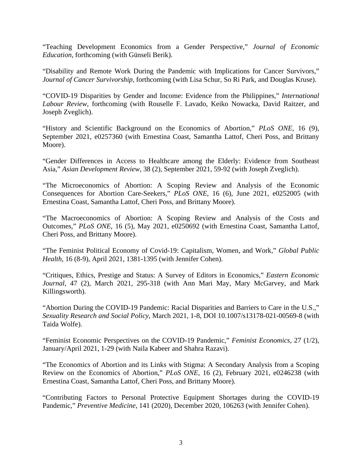"Teaching Development Economics from a Gender Perspective," *Journal of Economic Education*, forthcoming (with Günseli Berik).

"Disability and Remote Work During the Pandemic with Implications for Cancer Survivors," *Journal of Cancer Survivorship*, forthcoming (with Lisa Schur, So Ri Park, and Douglas Kruse).

"COVID-19 Disparities by Gender and Income: Evidence from the Philippines," *International Labour Review*, forthcoming (with Rouselle F. Lavado, Keiko Nowacka, David Raitzer, and Joseph Zveglich).

"History and Scientific Background on the Economics of Abortion," *PLoS ONE*, 16 (9), September 2021, e0257360 (with Ernestina Coast, Samantha Lattof, Cheri Poss, and Brittany Moore).

"Gender Differences in Access to Healthcare among the Elderly: Evidence from Southeast Asia," *Asian Development Review*, 38 (2), September 2021, 59-92 (with Joseph Zveglich).

"The Microeconomics of Abortion: A Scoping Review and Analysis of the Economic Consequences for Abortion Care-Seekers," *PLoS ONE*, 16 (6), June 2021, e0252005 (with Ernestina Coast, Samantha Lattof, Cheri Poss, and Brittany Moore).

"The Macroeconomics of Abortion: A Scoping Review and Analysis of the Costs and Outcomes," *PLoS ONE*, 16 (5), May 2021, e0250692 (with Ernestina Coast, Samantha Lattof, Cheri Poss, and Brittany Moore).

"The Feminist Political Economy of Covid-19: Capitalism, Women, and Work," *Global Public Health*, 16 (8-9), April 2021, 1381-1395 (with Jennifer Cohen).

"Critiques, Ethics, Prestige and Status: A Survey of Editors in Economics," *Eastern Economic Journal*, 47 (2), March 2021, 295-318 (with Ann Mari May, Mary McGarvey, and Mark Killingsworth).

"Abortion During the COVID-19 Pandemic: Racial Disparities and Barriers to Care in the U.S.," *Sexuality Research and Social Policy*, March 2021, 1-8, DOI 10.1007/s13178-021-00569-8 (with Taida Wolfe).

"Feminist Economic Perspectives on the COVID-19 Pandemic," *Feminist Economics*, 27 (1/2), January/April 2021, 1-29 (with Naila Kabeer and Shahra Razavi).

"The Economics of Abortion and its Links with Stigma: A Secondary Analysis from a Scoping Review on the Economics of Abortion," *PLoS ONE*, 16 (2), February 2021, e0246238 (with Ernestina Coast, Samantha Lattof, Cheri Poss, and Brittany Moore).

"Contributing Factors to Personal Protective Equipment Shortages during the COVID-19 Pandemic," *Preventive Medicine*, 141 (2020), December 2020, 106263 (with Jennifer Cohen).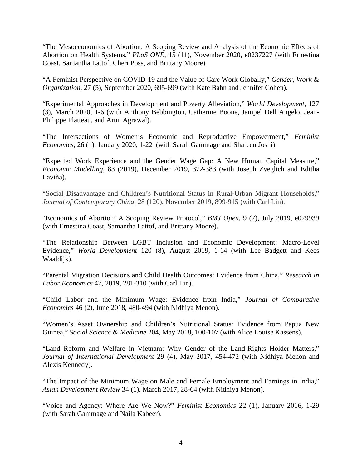"The Mesoeconomics of Abortion: A Scoping Review and Analysis of the Economic Effects of Abortion on Health Systems," *PLoS ONE*, 15 (11), November 2020, e0237227 (with Ernestina Coast, Samantha Lattof, Cheri Poss, and Brittany Moore).

"A Feminist Perspective on COVID-19 and the Value of Care Work Globally," *Gender, Work & Organization*, 27 (5), September 2020, 695-699 (with Kate Bahn and Jennifer Cohen).

"Experimental Approaches in Development and Poverty Alleviation," *World Development*, 127 (3), March 2020, 1-6 (with Anthony Bebbington, Catherine Boone, Jampel Dell'Angelo, Jean-Philippe Platteau, and Arun Agrawal).

"The Intersections of Women's Economic and Reproductive Empowerment," *Feminist Economics*, 26 (1), January 2020, 1-22 (with Sarah Gammage and Shareen Joshi).

"Expected Work Experience and the Gender Wage Gap: A New Human Capital Measure," *Economic Modelling*, 83 (2019), December 2019, 372-383 (with Joseph Zveglich and Editha Laviña).

"Social Disadvantage and Children's Nutritional Status in Rural-Urban Migrant Households," *Journal of Contemporary China*, 28 (120), November 2019, 899-915 (with Carl Lin).

"Economics of Abortion: A Scoping Review Protocol," *BMJ Open*, 9 (7), July 2019, e029939 (with Ernestina Coast, Samantha Lattof, and Brittany Moore).

"The Relationship Between LGBT Inclusion and Economic Development: Macro-Level Evidence," *World Development* 120 (8), August 2019, 1-14 (with Lee Badgett and Kees Waaldijk).

"Parental Migration Decisions and Child Health Outcomes: Evidence from China," *Research in Labor Economics* 47, 2019, 281-310 (with Carl Lin).

"Child Labor and the Minimum Wage: Evidence from India," *Journal of Comparative Economics* 46 (2), June 2018, 480-494 (with Nidhiya Menon).

"Women's Asset Ownership and Children's Nutritional Status: Evidence from Papua New Guinea," *Social Science & Medicine* 204, May 2018, 100-107 (with Alice Louise Kassens).

"Land Reform and Welfare in Vietnam: Why Gender of the Land-Rights Holder Matters," *Journal of International Development* 29 (4), May 2017, 454-472 (with Nidhiya Menon and Alexis Kennedy).

"The Impact of the Minimum Wage on Male and Female Employment and Earnings in India," *Asian Development Review* 34 (1), March 2017, 28-64 (with Nidhiya Menon).

"Voice and Agency: Where Are We Now?" *Feminist Economics* 22 (1), January 2016, 1-29 (with Sarah Gammage and Naila Kabeer).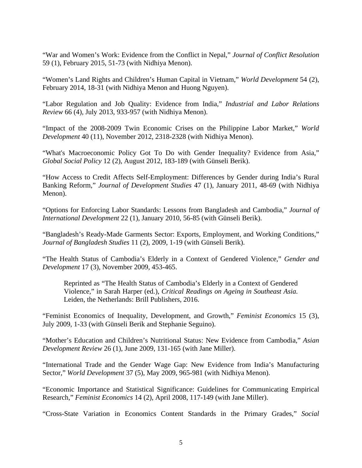"War and Women's Work: Evidence from the Conflict in Nepal," *Journal of Conflict Resolution* 59 (1), February 2015, 51-73 (with Nidhiya Menon).

"Women's Land Rights and Children's Human Capital in Vietnam," *World Development* 54 (2), February 2014, 18-31 (with Nidhiya Menon and Huong Nguyen).

"Labor Regulation and Job Quality: Evidence from India," *Industrial and Labor Relations Review* 66 (4), July 2013, 933-957 (with Nidhiya Menon).

"Impact of the 2008-2009 Twin Economic Crises on the Philippine Labor Market," *World Development* 40 (11), November 2012, 2318-2328 (with Nidhiya Menon).

"What's Macroeconomic Policy Got To Do with Gender Inequality? Evidence from Asia," *Global Social Policy* 12 (2), August 2012, 183-189 (with Günseli Berik).

"How Access to Credit Affects Self-Employment: Differences by Gender during India's Rural Banking Reform," *Journal of Development Studies* 47 (1), January 2011, 48-69 (with Nidhiya Menon).

"Options for Enforcing Labor Standards: Lessons from Bangladesh and Cambodia," *Journal of International Development* 22 (1), January 2010, 56-85 (with Günseli Berik).

"Bangladesh's Ready-Made Garments Sector: Exports, Employment, and Working Conditions," *Journal of Bangladesh Studies* 11 (2), 2009, 1-19 (with Günseli Berik).

"The Health Status of Cambodia's Elderly in a Context of Gendered Violence," *Gender and Development* 17 (3), November 2009, 453-465.

Reprinted as "The Health Status of Cambodia's Elderly in a Context of Gendered Violence," in Sarah Harper (ed.), *Critical Readings on Ageing in Southeast Asia.* Leiden, the Netherlands: Brill Publishers, 2016.

"Feminist Economics of Inequality, Development, and Growth," *Feminist Economics* 15 (3), July 2009, 1-33 (with Günseli Berik and Stephanie Seguino).

"Mother's Education and Children's Nutritional Status: New Evidence from Cambodia," *Asian Development Review* 26 (1), June 2009, 131-165 (with Jane Miller).

"International Trade and the Gender Wage Gap: New Evidence from India's Manufacturing Sector," *World Development* 37 (5), May 2009, 965-981 (with Nidhiya Menon).

"Economic Importance and Statistical Significance: Guidelines for Communicating Empirical Research," *Feminist Economics* 14 (2), April 2008, 117-149 (with Jane Miller).

"Cross-State Variation in Economics Content Standards in the Primary Grades," *Social*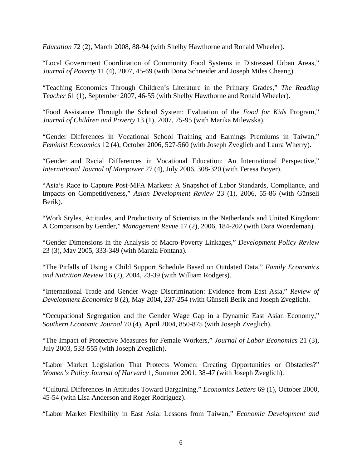*Education* 72 (2), March 2008, 88-94 (with Shelby Hawthorne and Ronald Wheeler).

"Local Government Coordination of Community Food Systems in Distressed Urban Areas," *Journal of Poverty* 11 (4), 2007, 45-69 (with Dona Schneider and Joseph Miles Cheang).

"Teaching Economics Through Children's Literature in the Primary Grades," *The Reading Teacher* 61 (1), September 2007, 46-55 (with Shelby Hawthorne and Ronald Wheeler).

"Food Assistance Through the School System: Evaluation of the *Food for Kids* Program," *Journal of Children and Poverty* 13 (1), 2007, 75-95 (with Marika Milewska).

"Gender Differences in Vocational School Training and Earnings Premiums in Taiwan," *Feminist Economics* 12 (4), October 2006, 527-560 (with Joseph Zveglich and Laura Wherry).

"Gender and Racial Differences in Vocational Education: An International Perspective," *International Journal of Manpower* 27 (4), July 2006, 308-320 (with Teresa Boyer).

"Asia's Race to Capture Post-MFA Markets: A Snapshot of Labor Standards, Compliance, and Impacts on Competitiveness," *Asian Development Review* 23 (1), 2006, 55-86 (with Günseli Berik).

"Work Styles, Attitudes, and Productivity of Scientists in the Netherlands and United Kingdom: A Comparison by Gender," *Management Revue* 17 (2), 2006, 184-202 (with Dara Woerdeman).

"Gender Dimensions in the Analysis of Macro-Poverty Linkages," *Development Policy Review* 23 (3), May 2005, 333-349 (with Marzia Fontana).

"The Pitfalls of Using a Child Support Schedule Based on Outdated Data," *Family Economics and Nutrition Review* 16 (2), 2004, 23-39 (with William Rodgers).

"International Trade and Gender Wage Discrimination: Evidence from East Asia," *Review of Development Economics* 8 (2), May 2004, 237-254 (with Günseli Berik and Joseph Zveglich).

"Occupational Segregation and the Gender Wage Gap in a Dynamic East Asian Economy," *Southern Economic Journal* 70 (4), April 2004, 850-875 (with Joseph Zveglich).

"The Impact of Protective Measures for Female Workers," *Journal of Labor Economics* 21 (3), July 2003, 533-555 (with Joseph Zveglich).

"Labor Market Legislation That Protects Women: Creating Opportunities or Obstacles?" *Women's Policy Journal of Harvard* 1, Summer 2001, 38-47 (with Joseph Zveglich).

"Cultural Differences in Attitudes Toward Bargaining," *Economics Letters* 69 (1), October 2000, 45-54 (with Lisa Anderson and Roger Rodriguez).

"Labor Market Flexibility in East Asia: Lessons from Taiwan," *Economic Development and*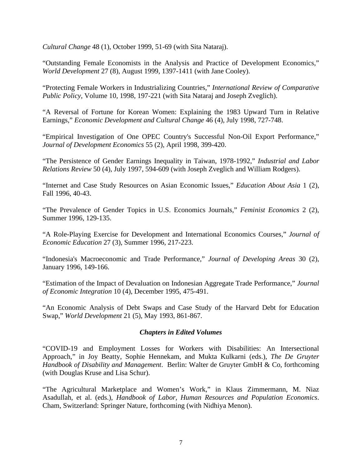*Cultural Change* 48 (1), October 1999, 51-69 (with Sita Nataraj).

"Outstanding Female Economists in the Analysis and Practice of Development Economics," *World Development* 27 (8), August 1999, 1397-1411 (with Jane Cooley).

"Protecting Female Workers in Industrializing Countries," *International Review of Comparative Public Policy*, Volume 10, 1998, 197-221 (with Sita Nataraj and Joseph Zveglich).

"A Reversal of Fortune for Korean Women: Explaining the 1983 Upward Turn in Relative Earnings," *Economic Development and Cultural Change* 46 (4), July 1998, 727-748.

"Empirical Investigation of One OPEC Country's Successful Non-Oil Export Performance," *Journal of Development Economics* 55 (2), April 1998, 399-420.

"The Persistence of Gender Earnings Inequality in Taiwan, 1978-1992," *Industrial and Labor Relations Review* 50 (4), July 1997, 594-609 (with Joseph Zveglich and William Rodgers).

"Internet and Case Study Resources on Asian Economic Issues," *Education About Asia* 1 (2), Fall 1996, 40-43.

"The Prevalence of Gender Topics in U.S. Economics Journals," *Feminist Economics* 2 (2), Summer 1996, 129-135.

"A Role-Playing Exercise for Development and International Economics Courses," *Journal of Economic Education* 27 (3), Summer 1996, 217-223.

"Indonesia's Macroeconomic and Trade Performance," *Journal of Developing Areas* 30 (2), January 1996, 149-166.

"Estimation of the Impact of Devaluation on Indonesian Aggregate Trade Performance," *Journal of Economic Integration* 10 (4), December 1995, 475-491.

"An Economic Analysis of Debt Swaps and Case Study of the Harvard Debt for Education Swap," *World Development* 21 (5), May 1993, 861-867.

## *Chapters in Edited Volumes*

"COVID-19 and Employment Losses for Workers with Disabilities: An Intersectional Approach," in Joy Beatty, Sophie Hennekam, and Mukta Kulkarni (eds.), *The De Gruyter Handbook of Disability and Management*. Berlin: Walter de Gruyter GmbH & Co, forthcoming (with Douglas Kruse and Lisa Schur).

"The Agricultural Marketplace and Women's Work," in Klaus Zimmermann, M. Niaz Asadullah, et al. (eds.), *Handbook of Labor, Human Resources and Population Economics*. Cham, Switzerland: Springer Nature, forthcoming (with Nidhiya Menon).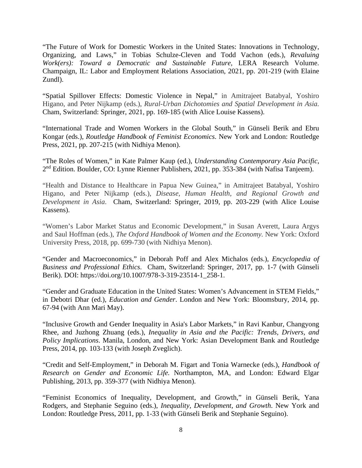"The Future of Work for Domestic Workers in the United States: Innovations in Technology, Organizing, and Laws," in Tobias Schulze-Cleven and Todd Vachon (eds.), *Revaluing Work(ers): Toward a Democratic and Sustainable Future,* LERA Research Volume. Champaign, IL: Labor and Employment Relations Association, 2021, pp. 201-219 (with Elaine Zundl).

"Spatial Spillover Effects: Domestic Violence in Nepal," in Amitrajeet Batabyal, Yoshiro Higano, and Peter Nijkamp (eds.), *Rural-Urban Dichotomies and Spatial Development in Asia.* Cham, Switzerland: Springer, 2021, pp. 169-185 (with Alice Louise Kassens).

"International Trade and Women Workers in the Global South," in Günseli Berik and Ebru Kongar (eds.), *Routledge Handbook of Feminist Economics*. New York and London: Routledge Press, 2021, pp. 207-215 (with Nidhiya Menon).

"The Roles of Women," in Kate Palmer Kaup (ed.), *Understanding Contemporary Asia Pacific*, 2nd Edition. Boulder, CO: Lynne Rienner Publishers, 2021, pp. 353-384 (with Nafisa Tanjeem).

"Health and Distance to Healthcare in Papua New Guinea," in Amitrajeet Batabyal, Yoshiro Higano, and Peter Nijkamp (eds.), *Disease, Human Health, and Regional Growth and Development in Asia*. Cham, Switzerland: Springer, 2019, pp. 203-229 (with Alice Louise Kassens).

"Women's Labor Market Status and Economic Development," in Susan Averett, Laura Argys and Saul Hoffman (eds.), *The Oxford Handbook of Women and the Economy.* New York: Oxford University Press, 2018, pp. 699-730 (with Nidhiya Menon).

"Gender and Macroeconomics," in Deborah Poff and Alex Michalos (eds.), *Encyclopedia of Business and Professional Ethics*. Cham, Switzerland: Springer, 2017, pp. 1-7 (with Günseli Berik). DOI: https://doi.org/10.1007/978-3-319-23514-1\_258-1.

"Gender and Graduate Education in the United States: Women's Advancement in STEM Fields," in Debotri Dhar (ed.), *Education and Gender*. London and New York: Bloomsbury, 2014, pp. 67-94 (with Ann Mari May).

"Inclusive Growth and Gender Inequality in Asia's Labor Markets," in Ravi Kanbur, Changyong Rhee, and Juzhong Zhuang (eds.), *Inequality in Asia and the Pacific: Trends, Drivers, and Policy Implications*. Manila, London, and New York: Asian Development Bank and Routledge Press, 2014, pp. 103-133 (with Joseph Zveglich).

"Credit and Self-Employment," in Deborah M. Figart and Tonia Warnecke (eds.), *Handbook of Research on Gender and Economic Life.* Northampton, MA, and London: Edward Elgar Publishing, 2013, pp. 359-377 (with Nidhiya Menon).

"Feminist Economics of Inequality, Development, and Growth," in Günseli Berik, Yana Rodgers, and Stephanie Seguino (eds.), *Inequality, Development, and Growth*. New York and London: Routledge Press, 2011, pp. 1-33 (with Günseli Berik and Stephanie Seguino).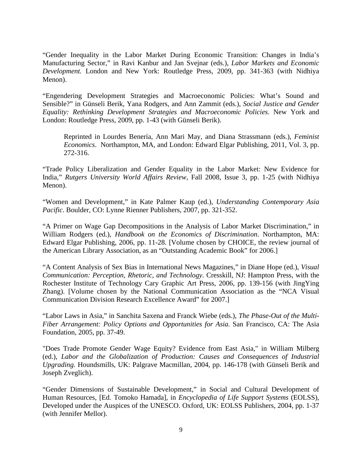"Gender Inequality in the Labor Market During Economic Transition: Changes in India's Manufacturing Sector," in Ravi Kanbur and Jan Svejnar (eds.), *Labor Markets and Economic Development.* London and New York: Routledge Press, 2009, pp. 341-363 (with Nidhiya Menon).

"Engendering Development Strategies and Macroeconomic Policies: What's Sound and Sensible?" in Günseli Berik, Yana Rodgers, and Ann Zammit (eds.), *Social Justice and Gender Equality: Rethinking Development Strategies and Macroeconomic Policies*. New York and London: Routledge Press, 2009, pp. 1-43 (with Günseli Berik).

Reprinted in Lourdes Benería, Ann Mari May, and Diana Strassmann (eds.), *Feminist Economics*. Northampton, MA, and London: Edward Elgar Publishing, 2011, Vol. 3, pp. 272-316.

"Trade Policy Liberalization and Gender Equality in the Labor Market: New Evidence for India," *Rutgers University World Affairs Review*, Fall 2008, Issue 3, pp. 1-25 (with Nidhiya Menon).

"Women and Development," in Kate Palmer Kaup (ed.), *Understanding Contemporary Asia Pacific*. Boulder, CO: Lynne Rienner Publishers, 2007, pp. 321-352.

"A Primer on Wage Gap Decompositions in the Analysis of Labor Market Discrimination," in William Rodgers (ed.), *Handbook on the Economics of Discrimination*. Northampton, MA: Edward Elgar Publishing, 2006, pp. 11-28. [Volume chosen by CHOICE, the review journal of the American Library Association, as an "Outstanding Academic Book" for 2006.]

"A Content Analysis of Sex Bias in International News Magazines," in Diane Hope (ed.), *Visual Communication: Perception, Rhetoric, and Technology*. Cresskill, NJ: Hampton Press, with the Rochester Institute of Technology Cary Graphic Art Press, 2006, pp. 139-156 (with JingYing Zhang). [Volume chosen by the National Communication Association as the "NCA Visual Communication Division Research Excellence Award" for 2007.]

"Labor Laws in Asia," in Sanchita Saxena and Franck Wiebe (eds.), *The Phase-Out of the Multi-Fiber Arrangement: Policy Options and Opportunities for Asia.* San Francisco, CA: The Asia Foundation, 2005, pp. 37-49.

"Does Trade Promote Gender Wage Equity? Evidence from East Asia," in William Milberg (ed.), *Labor and the Globalization of Production: Causes and Consequences of Industrial Upgrading.* Houndsmills, UK: Palgrave Macmillan, 2004, pp. 146-178 (with Günseli Berik and Joseph Zveglich).

"Gender Dimensions of Sustainable Development," in Social and Cultural Development of Human Resources, [Ed. Tomoko Hamada], in *Encyclopedia of Life Support Systems* (EOLSS), Developed under the Auspices of the UNESCO. Oxford, UK: EOLSS Publishers, 2004, pp. 1-37 (with Jennifer Mellor).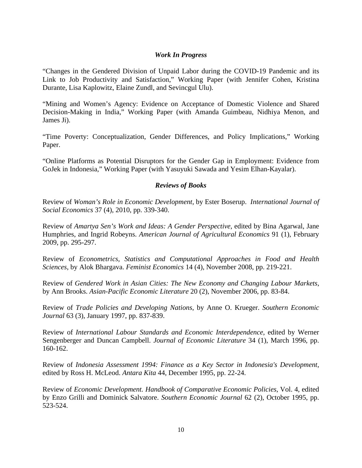## *Work In Progress*

"Changes in the Gendered Division of Unpaid Labor during the COVID-19 Pandemic and its Link to Job Productivity and Satisfaction," Working Paper (with Jennifer Cohen, Kristina Durante, Lisa Kaplowitz, Elaine Zundl, and Sevincgul Ulu).

"Mining and Women's Agency: Evidence on Acceptance of Domestic Violence and Shared Decision-Making in India," Working Paper (with Amanda Guimbeau, Nidhiya Menon, and James Ji).

"Time Poverty: Conceptualization, Gender Differences, and Policy Implications," Working Paper.

"Online Platforms as Potential Disruptors for the Gender Gap in Employment: Evidence from GoJek in Indonesia," Working Paper (with Yasuyuki Sawada and Yesim Elhan-Kayalar).

## *Reviews of Books*

Review of *Woman's Role in Economic Development*, by Ester Boserup. *International Journal of Social Economics* 37 (4), 2010, pp. 339-340.

Review of *Amartya Sen's Work and Ideas: A Gender Perspective*, edited by Bina Agarwal, Jane Humphries, and Ingrid Robeyns. *American Journal of Agricultural Economics* 91 (1), February 2009, pp. 295-297.

Review of *Econometrics, Statistics and Computational Approaches in Food and Health Sciences*, by Alok Bhargava. *Feminist Economics* 14 (4), November 2008, pp. 219-221.

Review of *Gendered Work in Asian Cities: The New Economy and Changing Labour Markets*, by Ann Brooks. *Asian-Pacific Economic Literature* 20 (2), November 2006, pp. 83-84.

Review of *Trade Policies and Developing Nations*, by Anne O. Krueger. *Southern Economic Journal* 63 (3), January 1997, pp. 837-839.

Review of *International Labour Standards and Economic Interdependence*, edited by Werner Sengenberger and Duncan Campbell. *Journal of Economic Literature* 34 (1), March 1996, pp. 160-162.

Review of *Indonesia Assessment 1994: Finance as a Key Sector in Indonesia's Development*, edited by Ross H. McLeod. *Antara Kita* 44, December 1995, pp. 22-24.

Review of *Economic Development. Handbook of Comparative Economic Policies*, Vol. 4, edited by Enzo Grilli and Dominick Salvatore. *Southern Economic Journal* 62 (2), October 1995, pp. 523-524.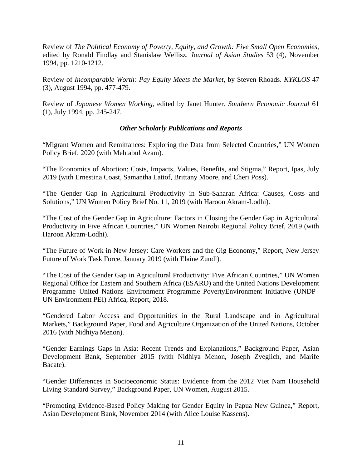Review of *The Political Economy of Poverty, Equity, and Growth: Five Small Open Economies*, edited by Ronald Findlay and Stanislaw Wellisz. *Journal of Asian Studies* 53 (4), November 1994, pp. 1210-1212.

Review of *Incomparable Worth: Pay Equity Meets the Market*, by Steven Rhoads. *KYKLOS* 47 (3), August 1994, pp. 477-479.

Review of *Japanese Women Working*, edited by Janet Hunter. *Southern Economic Journal* 61 (1), July 1994, pp. 245-247.

## *Other Scholarly Publications and Reports*

"Migrant Women and Remittances: Exploring the Data from Selected Countries," UN Women Policy Brief, 2020 (with Mehtabul Azam).

"The Economics of Abortion: Costs, Impacts, Values, Benefits, and Stigma," Report, Ipas, July 2019 (with Ernestina Coast, Samantha Lattof, Brittany Moore, and Cheri Poss).

"The Gender Gap in Agricultural Productivity in Sub-Saharan Africa: Causes, Costs and Solutions," UN Women Policy Brief No. 11, 2019 (with Haroon Akram-Lodhi).

"The Cost of the Gender Gap in Agriculture: Factors in Closing the Gender Gap in Agricultural Productivity in Five African Countries," UN Women Nairobi Regional Policy Brief, 2019 (with Haroon Akram-Lodhi).

"The Future of Work in New Jersey: Care Workers and the Gig Economy," Report, New Jersey Future of Work Task Force, January 2019 (with Elaine Zundl).

"The Cost of the Gender Gap in Agricultural Productivity: Five African Countries," UN Women Regional Office for Eastern and Southern Africa (ESARO) and the United Nations Development Programme–United Nations Environment Programme PovertyEnvironment Initiative (UNDP– UN Environment PEI) Africa, Report, 2018.

"Gendered Labor Access and Opportunities in the Rural Landscape and in Agricultural Markets," Background Paper, Food and Agriculture Organization of the United Nations, October 2016 (with Nidhiya Menon).

"Gender Earnings Gaps in Asia: Recent Trends and Explanations," Background Paper, Asian Development Bank, September 2015 (with Nidhiya Menon, Joseph Zveglich, and Marife Bacate).

"Gender Differences in Socioeconomic Status: Evidence from the 2012 Viet Nam Household Living Standard Survey," Background Paper, UN Women, August 2015.

"Promoting Evidence-Based Policy Making for Gender Equity in Papua New Guinea," Report, Asian Development Bank, November 2014 (with Alice Louise Kassens).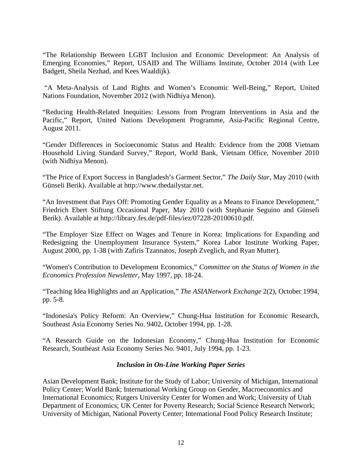"The Relationship Between LGBT Inclusion and Economic Development: An Analysis of Emerging Economies," Report, USAID and The Williams Institute, October 2014 (with Lee Badgett, Sheila Nezhad, and Kees Waaldijk).

"A Meta-Analysis of Land Rights and Women's Economic Well-Being," Report, United Nations Foundation, November 2012 (with Nidhiya Menon).

"Reducing Health-Related Inequities: Lessons from Program Interventions in Asia and the Pacific," Report, United Nations Development Programme, Asia-Pacific Regional Centre, August 2011.

"Gender Differences in Socioeconomic Status and Health: Evidence from the 2008 Vietnam Household Living Standard Survey," Report, World Bank, Vietnam Office, November 2010 (with Nidhiya Menon).

"The Price of Export Success in Bangladesh's Garment Sector," *The Daily Star*, May 2010 (with Günseli Berik). Available at http://www.thedailystar.net.

"An Investment that Pays Off: Promoting Gender Equality as a Means to Finance Development," Friedrich Ebert Stiftung Occasional Paper, May 2010 (with Stephanie Seguino and Günseli Berik). Available at http://library.fes.de/pdf-files/iez/07228-20100610.pdf.

"The Employer Size Effect on Wages and Tenure in Korea: Implications for Expanding and Redesigning the Unemployment Insurance System," Korea Labor Institute Working Paper, August 2000, pp. 1-38 (with Zafiris Tzannatos, Joseph Zveglich, and Ryan Mutter).

"Women's Contribution to Development Economics," *Committee on the Status of Women in the Economics Profession Newsletter*, May 1997, pp. 18-24.

"Teaching Idea Highlights and an Application," *The ASIANetwork Exchange* 2(2), October 1994, pp. 5-8.

"Indonesia's Policy Reform: An Overview," Chung-Hua Institution for Economic Research, Southeast Asia Economy Series No. 9402, October 1994, pp. 1-28.

"A Research Guide on the Indonesian Economy," Chung-Hua Institution for Economic Research, Southeast Asia Economy Series No. 9401, July 1994, pp. 1-23.

## *Inclusion in On-Line Working Paper Series*

Asian Development Bank; Institute for the Study of Labor; University of Michigan, International Policy Center; World Bank; International Working Group on Gender, Macroeconomics and International Economics; Rutgers University Center for Women and Work; University of Utah Department of Economics; UK Center for Poverty Research; Social Science Research Network; University of Michigan, National Poverty Center; International Food Policy Research Institute;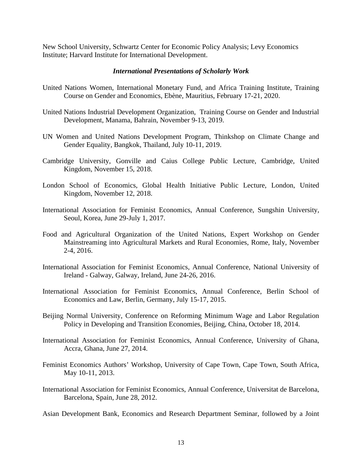New School University, Schwartz Center for Economic Policy Analysis; Levy Economics Institute; Harvard Institute for International Development.

#### *International Presentations of Scholarly Work*

- United Nations Women, International Monetary Fund, and Africa Training Institute, Training Course on Gender and Economics, Ebène, Mauritius, February 17-21, 2020.
- United Nations Industrial Development Organization, Training Course on Gender and Industrial Development, Manama, Bahrain, November 9-13, 2019.
- UN Women and United Nations Development Program, Thinkshop on Climate Change and Gender Equality, Bangkok, Thailand, July 10-11, 2019.
- Cambridge University, Gonville and Caius College Public Lecture, Cambridge, United Kingdom, November 15, 2018.
- London School of Economics, Global Health Initiative Public Lecture, London, United Kingdom, November 12, 2018.
- International Association for Feminist Economics, Annual Conference, Sungshin University, Seoul, Korea, June 29-July 1, 2017.
- Food and Agricultural Organization of the United Nations, Expert Workshop on Gender Mainstreaming into Agricultural Markets and Rural Economies, Rome, Italy, November 2-4, 2016.
- International Association for Feminist Economics, Annual Conference, National University of Ireland - Galway, Galway, Ireland, June 24-26, 2016.
- International Association for Feminist Economics, Annual Conference, Berlin School of Economics and Law, Berlin, Germany, July 15-17, 2015.
- Beijing Normal University, Conference on Reforming Minimum Wage and Labor Regulation Policy in Developing and Transition Economies, Beijing, China, October 18, 2014.
- International Association for Feminist Economics, Annual Conference, University of Ghana, Accra, Ghana, June 27, 2014.
- Feminist Economics Authors' Workshop, University of Cape Town, Cape Town, South Africa, May 10-11, 2013.
- International Association for Feminist Economics, Annual Conference, Universitat de Barcelona, Barcelona, Spain, June 28, 2012.

Asian Development Bank, Economics and Research Department Seminar, followed by a Joint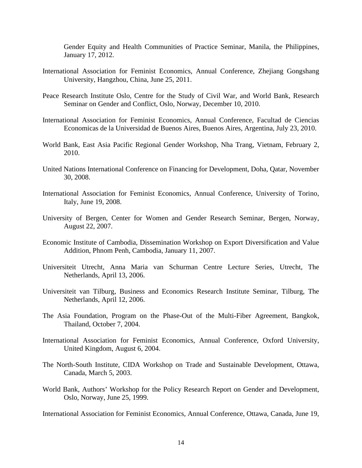Gender Equity and Health Communities of Practice Seminar, Manila, the Philippines, January 17, 2012.

- International Association for Feminist Economics, Annual Conference, Zhejiang Gongshang University, Hangzhou, China, June 25, 2011.
- Peace Research Institute Oslo, Centre for the Study of Civil War, and World Bank, Research Seminar on Gender and Conflict, Oslo, Norway, December 10, 2010.
- International Association for Feminist Economics, Annual Conference, Facultad de Ciencias Economicas de la Universidad de Buenos Aires, Buenos Aires, Argentina, July 23, 2010.
- World Bank, East Asia Pacific Regional Gender Workshop, Nha Trang, Vietnam, February 2, 2010.
- United Nations International Conference on Financing for Development, Doha, Qatar, November 30, 2008.
- International Association for Feminist Economics, Annual Conference, University of Torino, Italy, June 19, 2008.
- University of Bergen, Center for Women and Gender Research Seminar, Bergen, Norway, August 22, 2007.
- Economic Institute of Cambodia, Dissemination Workshop on Export Diversification and Value Addition, Phnom Penh, Cambodia, January 11, 2007.
- Universiteit Utrecht, Anna Maria van Schurman Centre Lecture Series, Utrecht, The Netherlands, April 13, 2006.
- Universiteit van Tilburg, Business and Economics Research Institute Seminar, Tilburg, The Netherlands, April 12, 2006.
- The Asia Foundation, Program on the Phase-Out of the Multi-Fiber Agreement, Bangkok, Thailand, October 7, 2004.
- International Association for Feminist Economics, Annual Conference, Oxford University, United Kingdom, August 6, 2004.
- The North-South Institute, CIDA Workshop on Trade and Sustainable Development, Ottawa, Canada, March 5, 2003.
- World Bank, Authors' Workshop for the Policy Research Report on Gender and Development, Oslo, Norway, June 25, 1999.

International Association for Feminist Economics, Annual Conference, Ottawa, Canada, June 19,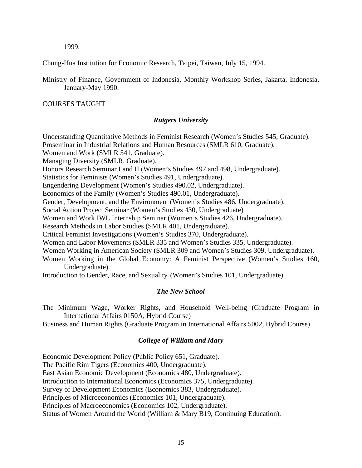1999.

Chung-Hua Institution for Economic Research, Taipei, Taiwan, July 15, 1994.

Ministry of Finance, Government of Indonesia, Monthly Workshop Series, Jakarta, Indonesia, January-May 1990.

### COURSES TAUGHT

### *Rutgers University*

Understanding Quantitative Methods in Feminist Research (Women's Studies 545, Graduate). Proseminar in Industrial Relations and Human Resources (SMLR 610, Graduate). Women and Work (SMLR 541, Graduate). Managing Diversity (SMLR, Graduate). Honors Research Seminar I and II (Women's Studies 497 and 498, Undergraduate). Statistics for Feminists (Women's Studies 491, Undergraduate). Engendering Development (Women's Studies 490.02, Undergraduate). Economics of the Family (Women's Studies 490.01, Undergraduate). Gender, Development, and the Environment (Women's Studies 486, Undergraduate). Social Action Project Seminar (Women's Studies 430, Undergraduate) Women and Work IWL Internship Seminar (Women's Studies 426, Undergraduate). Research Methods in Labor Studies (SMLR 401, Undergraduate). Critical Feminist Investigations (Women's Studies 370, Undergraduate). Women and Labor Movements (SMLR 335 and Women's Studies 335, Undergraduate). Women Working in American Society (SMLR 309 and Women's Studies 309, Undergraduate). Women Working in the Global Economy: A Feminist Perspective (Women's Studies 160, Undergraduate). Introduction to Gender, Race, and Sexuality (Women's Studies 101, Undergraduate).

## *The New School*

The Minimum Wage, Worker Rights, and Household Well-being (Graduate Program in International Affairs 0150A, Hybrid Course)

Business and Human Rights (Graduate Program in International Affairs 5002, Hybrid Course)

## *College of William and Mary*

Economic Development Policy (Public Policy 651, Graduate). The Pacific Rim Tigers (Economics 400, Undergraduate). East Asian Economic Development (Economics 480, Undergraduate). Introduction to International Economics (Economics 375, Undergraduate). Survey of Development Economics (Economics 383, Undergraduate). Principles of Microeconomics (Economics 101, Undergraduate). Principles of Macroeconomics (Economics 102, Undergraduate). Status of Women Around the World (William & Mary B19, Continuing Education).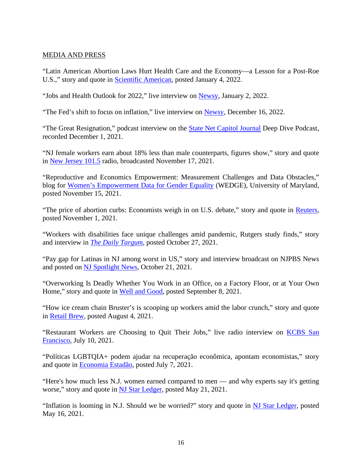## MEDIA AND PRESS

"Latin American Abortion Laws Hurt Health Care and the Economy—a Lesson for a Post-Roe U.S.," story and quote in [Scientific American,](https://www.scientificamerican.com/article/latin-american-abortion-laws-hurt-health-care-and-the-economy-a-lesson-for-a-post-roe-u-s/) posted January 4, 2022.

"Jobs and Health Outlook for 2022," live interview on [Newsy,](https://www.newsy.com/) January 2, 2022.

"The Fed's shift to focus on inflation," live interview on [Newsy,](https://www.newsy.com/) December 16, 2022.

"The Great Resignation," podcast interview on the **State Net Capitol Journal Deep Dive Podcast**, recorded December 1, 2021.

"NJ female workers earn about 18% less than male counterparts, figures show," story and quote in [New Jersey](https://nj1015.com/nj-full-time-women-earned-82-of-mens-wages-in-2020-figures-show/) 101.5 radio, broadcasted November 17, 2021.

"Reproductive and Economics Empowerment: Measurement Challenges and Data Obstacles," blog for [Women's Empowerment Data for Gender Equality](https://wedge.umd.edu/index.php/reproductive-and-economic-empowerment-measurement-challenges-and-data-obstacles) (WEDGE), University of Maryland, posted November 15, 2021.

"The price of abortion curbs: Economists weigh in on U.S. debate," story and quote in [Reuters,](https://news.trust.org/item/20211101133936-ftv20/) posted November 1, 2021.

"Workers with disabilities face unique challenges amid pandemic, Rutgers study finds," story and interview in *[The Daily Targum](https://dailytargum.com/article/2021/10/workers-with-disabilities-face-unique-challenges-amid-pandemic-rutgers-study)*, posted October 27, 2021.

"Pay gap for Latinas in NJ among worst in US," story and interview broadcast on NJPBS News and posted on [NJ Spotlight News,](https://www.njspotlight.com/video/pay-gap-for-latinas-in-nj-among-worst-in-us/) October 21, 2021.

"Overworking Is Deadly Whether You Work in an Office, on a Factory Floor, or at Your Own Home," story and quote in [Well and Good,](https://www.wellandgood.com/overworking-at-work/) posted September 8, 2021.

"How ice cream chain Bruster's is scooping up workers amid the labor crunch," story and quote in [Retail Brew,](https://www.morningbrew.com/retail/stories/2021/08/04/ice-cream-chain-brusters-scooping-workers-amid-labor-crunch) posted August 4, 2021.

"Restaurant Workers are Choosing to Quit Their Jobs," live radio interview on [KCBS San](https://omny.fm/shows/kcbsam-on-demand/restaurant-workers-are-choosing-to-quit-their-jobs)  [Francisco,](https://omny.fm/shows/kcbsam-on-demand/restaurant-workers-are-choosing-to-quit-their-jobs) July 10, 2021.

"Políticas LGBTQIA+ podem ajudar na recuperação econômica, apontam economistas," story and quote in [Economia Estadão,](https://economia.estadao.com.br/noticias/geral,politicas-inclusivas-para-lgbtqia-podem-ajudar-na-recuperacao-economica-apontam-economistas,70003770829) posted July 7, 2021.

"Here's how much less N.J. women earned compared to men — and why experts say it's getting worse," story and quote in [NJ Star Ledger,](https://www.nj.com/data/2021/05/heres-how-much-less-nj-women-earned-compared-to-men-and-why-experts-say-its-getting-worse.html) posted May 21, 2021.

"Inflation is looming in N.J. Should we be worried?" story and quote in [NJ Star Ledger,](https://www.nj.com/business/2021/05/inflation-is-looming-in-nj-is-that-really-a-bad-thing.html) posted May 16, 2021.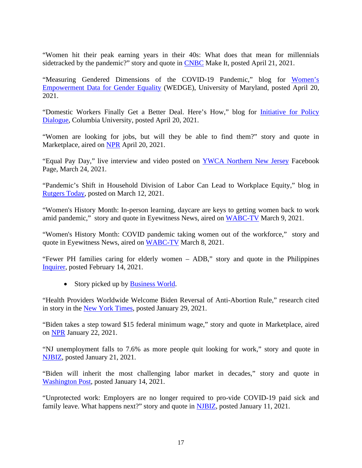"Women hit their peak earning years in their 40s: What does that mean for millennials sidetracked by the pandemic?" story and quote in [CNBC](https://www.cnbc.com/2021/04/20/how-womens-peak-earning-years-could-be-impacted-by-the-pandemic.html) Make It, posted April 21, 2021.

"Measuring Gendered Dimensions of the COVID-19 Pandemic," blog for [Women's](https://wedge.umd.edu/measuring-gendered-dimensions-covid-19-pandemic)  [Empowerment Data for Gender Equality](https://wedge.umd.edu/measuring-gendered-dimensions-covid-19-pandemic) (WEDGE), University of Maryland, posted April 20, 2021.

"Domestic Workers Finally Get a Better Deal. Here's How," blog for *Initiative for Policy* [Dialogue,](https://policydialogue.org/opinions/domestic-workers/) Columbia University, posted April 20, 2021.

"Women are looking for jobs, but will they be able to find them?" story and quote in Marketplace, aired on [NPR](https://www.marketplace.org/2021/04/20/women-are-looking-for-jobs-but-will-they-be-able-to-find-them/) April 20, 2021.

"Equal Pay Day," live interview and video posted on [YWCA Northern New Jersey](https://www.facebook.com/ywcannj/videos/812757312918820) Facebook Page, March 24, 2021.

"Pandemic's Shift in Household Division of Labor Can Lead to Workplace Equity," blog in [Rutgers Today,](https://www.rutgers.edu/news/rutgers-marks-womens-history-month?utm_source=newsletter&utm_medium=email&utm_campaign=rutgerstoday&utm_content=Faculty%20Excellence) posted on March 12, 2021.

"Women's History Month: In-person learning, daycare are keys to getting women back to work amid pandemic," story and quote in Eyewitness News, aired on [WABC-TV](https://abc7ny.com/society/in-person-learning-daycare-are-keys-to-getting-women-back-to-work/10399773/) March 9, 2021.

"Women's History Month: COVID pandemic taking women out of the workforce," story and quote in Eyewitness News, aired on [WABC-TV](https://abc7ny.com/covid-women-economy-womens-history-month-unemployed/10397085/) March 8, 2021.

"Fewer PH families caring for elderly women – ADB," story and quote in the Philippines [Inquirer,](https://newsinfo.inquirer.net/1395507/adb-fewer-ph-families-caring-for-elderly-women#ixzz6mUpLze1x) posted February 14, 2021.

• Story picked up by [Business World.](https://www.bworldonline.com/elderly-phl-population-a-growing-challenge-to-healthcare-system-adb/)

"Health Providers Worldwide Welcome Biden Reversal of Anti-Abortion Rule," research cited in story in the [New York Times,](https://www.nytimes.com/2021/01/29/world/asia/gag-rule-abortion.html) posted January 29, 2021.

"Biden takes a step toward \$15 federal minimum wage," story and quote in Marketplace, aired on [NPR](https://www.marketplace.org/2021/01/22/biden-takes-a-step-toward-15-federal-minimum-wage/) January 22, 2021.

"NJ unemployment falls to 7.6% as more people quit looking for work," story and quote in [NJBIZ,](https://njbiz.com/nj-unemployment-falls-7-6-people-quit-looking-work/) posted January 21, 2021.

"Biden will inherit the most challenging labor market in decades," story and quote in [Washington Post,](https://www.washingtonpost.com/politics/2021/01/14/biden-economics-labor-market/) posted January 14, 2021.

"Unprotected work: Employers are no longer required to pro-vide COVID-19 paid sick and family leave. What happens next?" story and quote in [NJBIZ,](https://njbiz.com/unprotected-work/) posted January 11, 2021.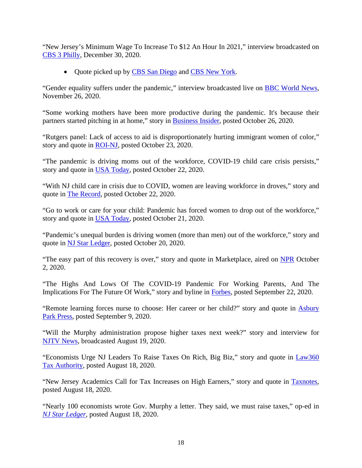"New Jersey's Minimum Wage To Increase To \$12 An Hour In 2021," interview broadcasted on [CBS 3 Philly,](https://philadelphia.cbslocal.com/2020/12/30/new-jerseys-minimum-wage-to-increase-to-12-an-hour-in-2021/) December 30, 2020.

• Quote picked up by [CBS San Diego](https://www.cbs8.com/article/money/minimum-wage-increase/509-89e77d73-9238-4f1e-af34-42c856b29711) and [CBS New York.](https://newyork.cbslocal.com/2021/01/01/new-jersey-minimum-wage-jumps-up-to-12-an-hour-part-of-deal-to-get-it-to-15-by-2024/)

"Gender equality suffers under the pandemic," interview broadcasted live on [BBC World News,](https://www.bbc.com/news/world) November 26, 2020.

"Some working mothers have been more productive during the pandemic. It's because their partners started pitching in at home," story in [Business Insider,](https://www.businessinsider.com/working-mothers-productivity-job-satisfaction-men-gender-caregiving-family-responsibilities-2020-10) posted October 26, 2020.

"Rutgers panel: Lack of access to aid is disproportionately hurting immigrant women of color," story and quote in [ROI-NJ,](https://www.roi-nj.com/2020/10/23/diversity-inclusion/rutgers-panel-lack-of-access-to-aid-is-disproportionately-hurting-immigrant-women-of-color/) posted October 23, 2020.

"The pandemic is driving moms out of the workforce, COVID-19 child care crisis persists," story and quote in [USA Today,](https://www.usatoday.com/story/news/nation/2020/10/22/coronavirus-women-leaving-jobs-droves-amid-child-care-crisis/3727447001/) posted October 22, 2020.

"With NJ child care in crisis due to COVID, women are leaving workforce in droves," story and quote in [The Record,](https://www.northjersey.com/story/news/new-jersey/2020/10/22/nj-covid-women-leaving-jobs-droves-amid-child-care-crisis/3666260001/) posted October 22, 2020.

"Go to work or care for your child: Pandemic has forced women to drop out of the workforce," story and quote in [USA Today,](https://www.usatoday.com/story/money/2020/10/21/coronavirus-child-care-women-workforce-wage-gap/5988622002/) posted October 21, 2020.

"Pandemic's unequal burden is driving women (more than men) out of the workforce," story and quote in [NJ Star Ledger,](https://www.nj.com/coronavirus/2020/10/how-the-coronavirus-pandemic-is-putting-women-out-of-work.html) posted October 20, 2020.

"The easy part of this recovery is over," story and quote in Marketplace, aired on [NPR](https://www.wnyc.org/story/the-easy-part-of-this-recovery-is-over) October 2, 2020.

"The Highs And Lows Of The COVID-19 Pandemic For Working Parents, And The Implications For The Future Of Work," story and byline in [Forbes,](https://www.forbes.com/sites/ellevate/2020/09/22/the-highs-and-lows-of-the-covid-19-pandemic-for-working-parents-and-the-implications-for-the-future-of-work/#1447097c2b34) posted September 22, 2020.

"Remote learning forces nurse to choose: Her career or her child?" story and quote in **Asbury** [Park Press,](https://www.app.com/story/news/education/2020/09/09/remote-learning-nurse-career-child-parent-struggles/5745499002/) posted September 9, 2020.

"Will the Murphy administration propose higher taxes next week?" story and interview for [NJTV News,](https://www.njtvonline.org/news/video/will-the-murphy-administration-propose-higher-taxes-next-week/) broadcasted August 19, 2020.

"Economists Urge NJ Leaders To Raise Taxes On Rich, Big Biz," story and quote in [Law360](https://www.law360.com/tax-authority/articles/1302253/economists-urge-nj-leaders-to-raise-taxes-on-rich-big-biz)  [Tax Authority,](https://www.law360.com/tax-authority/articles/1302253/economists-urge-nj-leaders-to-raise-taxes-on-rich-big-biz) posted August 18, 2020.

"New Jersey Academics Call for Tax Increases on High Earners," story and quote in [Taxnotes,](https://www.taxnotes.com/featured-news/new-jersey-academics-call-tax-increases-high-earners/2020/08/18/2cvpw) posted August 18, 2020.

"Nearly 100 economists wrote Gov. Murphy a letter. They said, we must raise taxes," op-ed in *[NJ Star Ledger](https://www.nj.com/opinion/2020/08/nearly-100-economists-wrote-gov-murphy-a-letter-they-said-we-must-raise-taxes-opinion.html)*, posted August 18, 2020.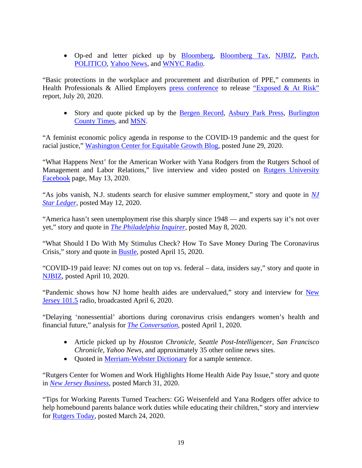• Op-ed and letter picked up by [Bloomberg,](https://www.bloomberg.com/news/articles/2020-08-18/n-j-urged-by-economists-group-to-raise-taxes-to-balance-budget) [Bloomberg Tax,](https://news.bloombergtax.com/daily-tax-report/n-j-urged-by-economists-group-to-raise-taxes-to-balance-budget) [NJBIZ,](https://njbiz.com/welcome-ad/?retUrl=/taxes-take-spotlight-nj-business-progressives-carve-demands-covid-hit-budget/) [Patch,](https://patch.com/new-jersey/newarknj/96-nj-economists-say-tax-rich-no-budget-cuts-amid-coronavirus) [POLITICO,](https://www.politico.com/newsletters/new-jersey-playbook/2020/08/19/trump-campaign-sues-new-jersey-over-mail-in-primary-490114) [Yahoo News,](https://news.yahoo.com/96-nj-economists-tax-rich-162701233.html) and [WNYC Radio.](https://www.wnyc.org/story/10-billion-hole-new-jersey-economists-say-dont-cut/)

"Basic protections in the workplace and procurement and distribution of PPE," comments in Health Professionals & Allied Employers [press conference](https://m.facebook.com/story.php?story_fbid=308998723558342&id=140691562625190&_rdr) to release ["Exposed & At Risk"](https://www.insidernj.com/press-release/hpea-releases-exposed-risk-report-covid-19/) report, July 20, 2020.

• Story and quote picked up by the [Bergen Record,](https://www.northjersey.com/story/news/coronavirus/2020/07/20/nj-nurses-union-lack-coronavirus-protections/5465945002/) [Asbury Park Press,](https://www.app.com/story/news/coronavirus/2020/07/20/nj-nurses-union-lack-coronavirus-protections/5465945002/) Burlington [County Times,](https://www.burlingtoncountytimes.com/news/20200721/we-feel-disposable-nj-nurses-union-cites-lack-of-protection-during-coronavirus-pandemic) and [MSN.](https://www.msn.com/en-us/news/us/we-feel-disposable-nj-nurses-union-cites-lack-of-protection-during-coronavirus-pandemic/ar-BB16YD1x)

"A feminist economic policy agenda in response to the COVID-19 pandemic and the quest for racial justice," [Washington Center for Equitable Growth Blog,](https://equitablegrowth.org/a-feminist-economic-policy-agenda-in-response-to-the-covid-19-pandemic-and-the-quest-for-racial-justice/) posted June 29, 2020.

"What Happens Next' for the American Worker with Yana Rodgers from the Rutgers School of Management and Labor Relations," live interview and video posted on [Rutgers University](https://www.facebook.com/watch/RutgersNB/1402994333216086/)  [Facebook](https://www.facebook.com/watch/RutgersNB/1402994333216086/) page, May 13, 2020.

"As jobs vanish, N.J. students search for elusive summer employment," story and quote in *[NJ](https://www.nj.com/coronavirus/2020/05/as-jobs-vanish-nj-students-search-for-elusive-summer-employment.html)  [Star Ledger](https://www.nj.com/coronavirus/2020/05/as-jobs-vanish-nj-students-search-for-elusive-summer-employment.html)*, posted May 12, 2020.

"America hasn't seen unemployment rise this sharply since 1948 — and experts say it's not over yet," story and quote in *[The Philadelphia Inquirer](https://www.inquirer.com/business/us-unemployment-record-rate-april-20200508.html)*, posted May 8, 2020.

"What Should I Do With My Stimulus Check? How To Save Money During The Coronavirus Crisis," story and quote in [Bustle,](https://www.bustle.com/p/what-should-i-do-with-my-stimulus-check-how-to-save-money-during-the-coronavirus-crisis-22814220) posted April 15, 2020.

"COVID-19 paid leave: NJ comes out on top vs. federal – data, insiders say," story and quote in [NJBIZ,](https://njbiz.com/covid-19-paid-leave-nj-comes-top-vs-federal-data-insiders-say/) posted April 10, 2020.

"Pandemic shows how NJ home health aides are undervalued," story and interview for New [Jersey](https://nj1015.com/pandemic-shows-how-nj-home-health-aides-are-undervalued-rutgers-report-says/) 101.5 radio, broadcasted April 6, 2020.

"Delaying 'nonessential' abortions during coronavirus crisis endangers women's health and financial future," analysis for *[The Conversation](https://theconversation.com/delaying-nonessential-abortions-during-coronavirus-crisis-endangers-womens-health-and-financial-future-135288)*, posted April 1, 2020.

- Article picked up by *Houston Chronicle, Seattle Post-Intelligencer, San Francisco Chronicle, Yahoo News,* and approximately 35 other online news sites.
- Quoted in [Merriam-Webster Dictionary](https://www.merriam-webster.com/dictionary/hysterectomy) for a sample sentence.

"Rutgers Center for Women and Work Highlights Home Health Aide Pay Issue," story and quote in *[New Jersey Business](https://njbmagazine.com/njb-news-now/rutgers-center-for-women-and-work-highlights-home-health-aides-in-nj/)*, posted March 31, 2020.

"Tips for Working Parents Turned Teachers: GG Weisenfeld and Yana Rodgers offer advice to help homebound parents balance work duties while educating their children," story and interview for [Rutgers Today,](https://www.rutgers.edu/news/rutgers-experts-tips-working-parents-turned-teachers?utm_source=newsletter&utm_medium=email&utm_campaign=rutgerstoday&utm_content=Community) posted March 24, 2020.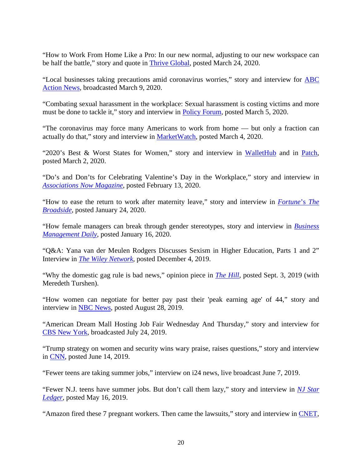"How to Work From Home Like a Pro: In our new normal, adjusting to our new workspace can be half the battle," story and quote in [Thrive Global,](https://thriveglobal.com/stories/work-from-home-like-a-pro/) posted March 24, 2020.

"Local businesses taking precautions amid coronavirus worries," story and interview for [ABC](https://6abc.com/health/local-businesses-taking-precautions-amid-coronavirus-worries/5998127/) [Action News,](https://6abc.com/health/local-businesses-taking-precautions-amid-coronavirus-worries/5998127/) broadcasted March 9, 2020.

"Combating sexual harassment in the workplace: Sexual harassment is costing victims and more must be done to tackle it," story and interview in **Policy Forum**, posted March 5, 2020.

"The coronavirus may force many Americans to work from home — but only a fraction can actually do that," story and interview in [MarketWatch,](https://www.marketwatch.com/story/the-coronavirus-may-force-many-americans-to-work-from-home-but-only-a-fraction-can-actually-do-that-2020-03-04?mod=andrew-keshner) posted March 4, 2020.

"2020's Best & Worst States for Women," story and interview in [WalletHub](https://wallethub.com/edu/best-and-worst-states-for-women/10728/#expert=yana-van-der-meulen-rodgers) and in [Patch,](https://patch.com/michigan/farmington-mi/wallethub-study-2020-s-best-worst-states-women) posted March 2, 2020.

"Do's and Don'ts for Celebrating Valentine's Day in the Workplace," story and interview in *[Associations Now Magazine](https://associationsnow.com/2020/02/dos-and-donts-for-celebrating-valentines-day-in-the-workplace/)*, posted February 13, 2020.

"How to ease the return to work after maternity leave," story and interview in *[Fortune](https://fortune.com/2020/01/24/how-to-ease-the-return-to-work-after-maternity-leave/)*'s *The [Broadside](https://fortune.com/2020/01/24/how-to-ease-the-return-to-work-after-maternity-leave/)*, posted January 24, 2020.

"How female managers can break through gender stereotypes, story and interview in *[Business](https://www.businessmanagementdaily.com/60879/how-female-managers-can-break-through-gender-stereotypes/pdf/)  [Management Daily](https://www.businessmanagementdaily.com/60879/how-female-managers-can-break-through-gender-stereotypes/pdf/)*, posted January 16, 2020.

"Q&A: Yana van der Meulen Rodgers Discusses Sexism in Higher Education, Parts 1 and 2" Interview in *[The Wiley Network](https://www.wiley.com/network/instructors-students/education-trends/q-a-yana-van-der-meulen-rodgers-discusses-sexism-in-higher-education-part-1)*, posted December 4, 2019.

"Why the domestic gag rule is bad news," opinion piece in *[The Hill](https://thehill.com/blogs/congress-blog/healthcare/459677-why-the-domestic-gag-rule-is-bad-news)*, posted Sept. 3, 2019 (with Meredeth Turshen).

"How women can negotiate for better pay past their 'peak earning age' of 44," story and interview in [NBC News,](https://www-nbcnews-com.cdn.ampproject.org/c/s/www.nbcnews.com/better/amp/ncna1046746) posted August 28, 2019.

"American Dream Mall Hosting Job Fair Wednesday And Thursday," story and interview for [CBS New York,](https://newyork.cbslocal.com/2019/07/24/american-dream-mall-hosting-job-fair-today-and-tomorrow/) broadcasted July 24, 2019.

"Trump strategy on women and security wins wary praise, raises questions," story and interview in [CNN,](https://amp.cnn.com/cnn/2019/06/13/politics/trump-women-security-peace/index.html) posted June 14, 2019.

"Fewer teens are taking summer jobs," interview on i24 news, live broadcast June 7, 2019.

"Fewer N.J. teens have summer jobs. But don't call them lazy," story and interview in *[NJ Star](https://www.nj.com/news/2019/05/nj-teens-arent-getting-as-many-summer-jobs-but-dont-say-they-are-lazy.html)  [Ledger](https://www.nj.com/news/2019/05/nj-teens-arent-getting-as-many-summer-jobs-but-dont-say-they-are-lazy.html)*, posted May 16, 2019.

"Amazon fired these 7 pregnant workers. Then came the lawsuits," story and interview in [CNET,](https://www.cnet.com/features/amazon-fired-these-7-pregnant-workers-then-came-the-lawsuits/)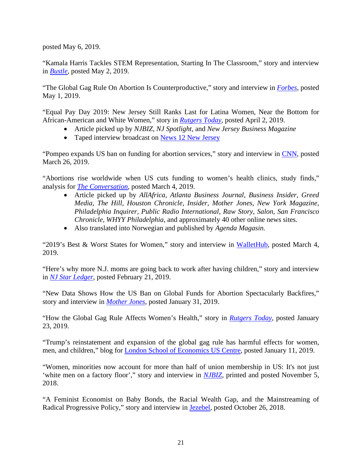posted May 6, 2019.

"Kamala Harris Tackles STEM Representation, Starting In The Classroom," story and interview in *[Bustle](https://www.bustle.com/p/kamala-harris-tackles-stem-representation-starting-in-the-classroom-17283835)*, posted May 2, 2019.

"The Global Gag Rule On Abortion Is Counterproductive," story and interview in *[Forbes](https://www.forbes.com/sites/christinero/2019/05/01/the-global-gag-rule-on-abortion-is-counterproductive/#1ba808a41815)*, posted May 1, 2019.

"Equal Pay Day 2019: New Jersey Still Ranks Last for Latina Women, Near the Bottom for African-American and White Women," story in *[Rutgers Today](https://smlr.rutgers.edu/news/equal-pay-day-2019-NJ-still-ranks-last-latina-women-near-bottom-african-american-and-white-women)*, posted April 2, 2019.

- Article picked up by *NJBIZ, NJ Spotlight,* and *New Jersey Business Magazine*
- Taped interview broadcast on [News 12 New Jersey](http://newjersey.news12.com/story/40241214/equal-pay-day-raises-awareness-about-the-pay-gap-between-genders)

"Pompeo expands US ban on funding for abortion services," story and interview in [CNN,](https://www.cnn.com/2019/03/26/politics/global-gag-rule-expansion-pompeo/index.html) posted March 26, 2019.

"Abortions rise worldwide when US cuts funding to women's health clinics, study finds," analysis for *[The Conversation](https://theconversation.com/abortions-rise-worldwide-when-us-cuts-funding-to-womens-health-clinics-study-finds-112491)*, posted March 4, 2019.

- Article picked up by *AllAfrica, Atlanta Business Journal, Business Insider, Greed Media, The Hill, Houston Chronicle, Insider, Mother Jones, New York Magazine, Philadelphia Inquirer, Public Radio International, Raw Story, Salon, San Francisco Chronicle, WHYY Philadelphia,* and approximately 40 other online news sites.
- Also translated into Norwegian and published by *Agenda Magasin.*

"2019's Best & Worst States for Women," story and interview in [WalletHub,](https://wallethub.com/edu/best-and-worst-states-for-women/10728/#expert=yana-van-der-meulen-rodgers) posted March 4, 2019.

"Here's why more N.J. moms are going back to work after having children," story and interview in *[NJ Star Ledger](https://www.nj.com/news/2019/02/heres-why-more-nj-moms-are-going-back-to-work-after-having-children.html)*, posted February 21, 2019.

"New Data Shows How the US Ban on Global Funds for Abortion Spectacularly Backfires," story and interview in *[Mother Jones](https://www.motherjones.com/politics/2019/01/new-data-shows-how-the-u-s-ban-on-global-funds-for-abortion-spectacularly-backfires/)*, posted January 31, 2019.

"How the Global Gag Rule Affects Women's Health," story in *[Rutgers Today](https://smlr.rutgers.edu/news/study-global-gag-rule-increased-abortion-rates-some-regions)*, posted January 23, 2019.

"Trump's reinstatement and expansion of the global gag rule has harmful effects for women, men, and children," blog for [London School of Economics US Centre,](http://blogs.lse.ac.uk/usappblog/2019/01/11/trumps-reinstatement-and-expansion-of-the-global-gag-rule-has-harmful-effects-for-women-men-and-children/) posted January 11, 2019.

"Women, minorities now account for more than half of union membership in US: It's not just 'white men on a factory floor'," story and interview in *[NJBIZ](http://www.njbiz.com/article/20181105/NJBIZ01/181109931/women-minorities-now-account-for-more-than-half-of-union-membership-in-us)*, printed and posted November 5, 2018.

"A Feminist Economist on Baby Bonds, the Racial Wealth Gap, and the Mainstreaming of Radical Progressive Policy," story and interview in [Jezebel,](https://theslot.jezebel.com/a-feminist-economist-on-baby-bonds-the-racial-wealth-g-1829978430) posted October 26, 2018.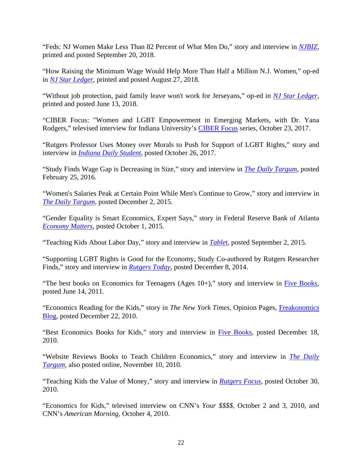"Feds: NJ Women Make Less Than 82 Percent of What Men Do," story and interview in *[NJBIZ](http://www.njbiz.com/article/20180920/NJBIZ01/180929999/feds-nj-women-make-less-than-82-percent-of-what-men-do)*, printed and posted September 20, 2018.

"How Raising the Minimum Wage Would Help More Than Half a Million N.J. Women," op-ed in *[NJ Star Ledger](https://www.nj.com/opinion/index.ssf/2018/08/how_raising_the_min_wage_would_help_600k_nj_women.html)*, printed and posted August 27, 2018.

"Without job protection, paid family leave won't work for Jerseyans," op-ed in *[NJ Star Ledger](http://www.nj.com/opinion/index.ssf/2018/06/nj_needs_to_strengthen_paid_family_leave_with_grea.html#incart_river_index)*, printed and posted June 13, 2018.

"CIBER Focus: "Women and LGBT Empowerment in Emerging Markets, with Dr. Yana Rodgers," televised interview for Indiana University's [CIBER Focus](https://iu.mediaspace.kaltura.com/media/CIBER+FocusA+%22Women+and+LGBT+Empowerment+in+Emerging+Markets%22+with+Dr.+Yana+Rodgers+-+October+23%2C+2017/1_u7n6bptz) series, October 23, 2017.

"Rutgers Professor Uses Money over Morals to Push for Support of LGBT Rights," story and interview in *[Indiana Daily Student](http://www.idsnews.com/article/2017/10/rutgers-professor-uses-money-over-morals-to-push-for-support-of-lgbt-rights)*, posted October 26, 2017.

"Study Finds Wage Gap is Decreasing in Size," story and interview in *[The Daily Targum](http://www.dailytargum.com/article/2016/02/study-finds-wage-gap-is-decreasing-in-size)*, posted February 25, 2016.

"Women's Salaries Peak at Certain Point While Men's Continue to Grow," story and interview in *[The Daily Targum](http://www.dailytargum.com/article/2015/12/womens-salaries-peak-at-certain-point-while-mens-continue-to-grow)*, posted December 2, 2015.

"Gender Equality is Smart Economics, Expert Says," story in Federal Reserve Bank of Atlanta *[Economy Matters](https://www.frbatlanta.org/economy-matters/2015/10/01/gender-equality-is-smart-economics.aspx)*, posted October 1, 2015.

"Teaching Kids About Labor Day," story and interview in *[Tablet](http://www.tabletmag.com/jewish-life-and-religion/193225/teaching-kids-about-labor-day)*, posted September 2, 2015.

"Supporting LGBT Rights is Good for the Economy, Study Co-authored by Rutgers Researcher Finds," story and interview in *[Rutgers Today](http://news.rutgers.edu/news/supporting-lgbt-rights-good-economy-study-co-authored-rutgers-researcher-finds/20141207#.VIh8n9LF-dG)*, posted December 8, 2014.

"The best books on Economics for Teenagers (Ages  $10+$ )," story and interview in [Five Books,](https://fivebooks.com/best-books/yana-van-der-meulen-rodgers-on-economics-for-teenagers/) posted June 14, 2011.

"Economics Reading for the Kids," story in *The New York Times,* Opinion Pages, [Freakonomics](http://freakonomics.blogs.nytimes.com/2010/12/22/economics-reading-for-the-kids/)  [Blog,](http://freakonomics.blogs.nytimes.com/2010/12/22/economics-reading-for-the-kids/) posted December 22, 2010.

"Best Economics Books for Kids," story and interview in [Five Books,](https://fivebooks.com/best-books/economics-kids-yana-van-der-meulen-rodgers/) posted December 18, 2010.

"Website Reviews Books to Teach Children Economics," story and interview in *[The Daily](https://issuu.com/targum_editor/docs/dt_2010-11-11)  [Targum](https://issuu.com/targum_editor/docs/dt_2010-11-11)*, also posted online, November 10, 2010.

"Teaching Kids the Value of Money," story and interview in *[Rutgers Focus](http://news.rutgers.edu/focus/issue.2010-10-06.0799872240/article.2010-10-29.1295139250)*, posted October 30, 2010.

"Economics for Kids," televised interview on CNN's *Your \$\$\$\$,* October 2 and 3, 2010, and CNN's *American Morning,* October 4, 2010.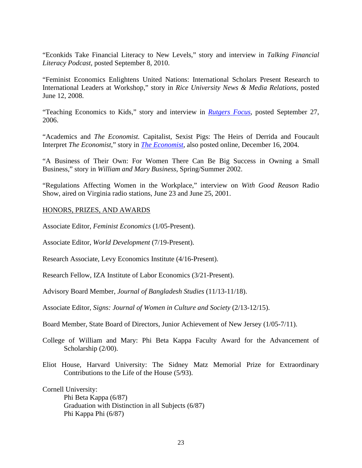"Econkids Take Financial Literacy to New Levels," story and interview in *Talking Financial Literacy Podcast*, posted September 8, 2010.

"Feminist Economics Enlightens United Nations: International Scholars Present Research to International Leaders at Workshop," story in *Rice University News & Media Relations*, posted June 12, 2008.

"Teaching Economics to Kids," story and interview in *[Rutgers Focus](http://news.rutgers.edu/focus/issue.2006-09-26.4918544960/news-briefs#c0ead47093f6c3710eea615baaf36b5d)*, posted September 27, 2006.

"Academics and *The Economist.* Capitalist, Sexist Pigs: The Heirs of Derrida and Foucault Interpret *The Economist*," story in *[The Economist](http://www.economist.com/node/3445096?story_id=3445096)*, also posted online, December 16, 2004.

"A Business of Their Own: For Women There Can Be Big Success in Owning a Small Business," story in *William and Mary Business*, Spring/Summer 2002.

"Regulations Affecting Women in the Workplace," interview on *With Good Reason* Radio Show, aired on Virginia radio stations, June 23 and June 25, 2001.

## HONORS, PRIZES, AND AWARDS

Associate Editor, *Feminist Economics* (1/05-Present).

Associate Editor, *World Development* (7/19-Present).

Research Associate, Levy Economics Institute (4/16-Present).

Research Fellow, IZA Institute of Labor Economics (3/21-Present).

Advisory Board Member, *Journal of Bangladesh Studies* (11/13-11/18).

Associate Editor, *Signs: Journal of Women in Culture and Society* (2/13-12/15).

Board Member, State Board of Directors, Junior Achievement of New Jersey (1/05-7/11).

College of William and Mary: Phi Beta Kappa Faculty Award for the Advancement of Scholarship (2/00).

Eliot House, Harvard University: The Sidney Matz Memorial Prize for Extraordinary Contributions to the Life of the House (5/93).

Cornell University:

Phi Beta Kappa (6/87) Graduation with Distinction in all Subjects (6/87) Phi Kappa Phi (6/87)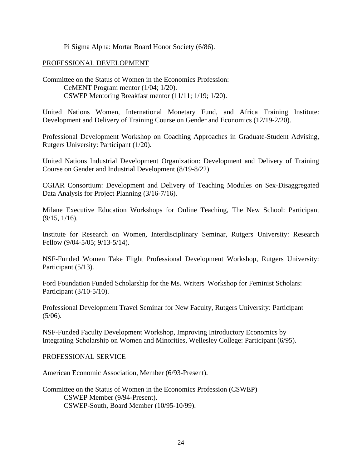Pi Sigma Alpha: Mortar Board Honor Society (6/86).

## PROFESSIONAL DEVELOPMENT

Committee on the Status of Women in the Economics Profession: CeMENT Program mentor (1/04; 1/20). CSWEP Mentoring Breakfast mentor (11/11; 1/19; 1/20).

United Nations Women, International Monetary Fund, and Africa Training Institute: Development and Delivery of Training Course on Gender and Economics (12/19-2/20).

Professional Development Workshop on Coaching Approaches in Graduate-Student Advising, Rutgers University: Participant (1/20).

United Nations Industrial Development Organization: Development and Delivery of Training Course on Gender and Industrial Development (8/19-8/22).

CGIAR Consortium: Development and Delivery of Teaching Modules on Sex-Disaggregated Data Analysis for Project Planning (3/16-7/16).

Milane Executive Education Workshops for Online Teaching, The New School: Participant (9/15, 1/16).

Institute for Research on Women, Interdisciplinary Seminar, Rutgers University: Research Fellow (9/04-5/05; 9/13-5/14).

NSF-Funded Women Take Flight Professional Development Workshop, Rutgers University: Participant (5/13).

Ford Foundation Funded Scholarship for the Ms. Writers' Workshop for Feminist Scholars: Participant (3/10-5/10).

Professional Development Travel Seminar for New Faculty, Rutgers University: Participant  $(5/06)$ .

NSF-Funded Faculty Development Workshop, Improving Introductory Economics by Integrating Scholarship on Women and Minorities, Wellesley College: Participant (6/95).

## PROFESSIONAL SERVICE

American Economic Association, Member (6/93-Present).

Committee on the Status of Women in the Economics Profession (CSWEP) CSWEP Member (9/94-Present). CSWEP-South, Board Member (10/95-10/99).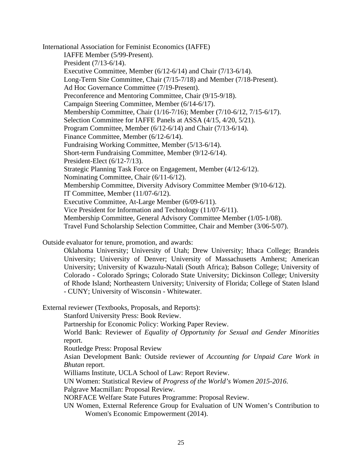International Association for Feminist Economics (IAFFE) IAFFE Member (5/99-Present). President (7/13-6/14). Executive Committee, Member (6/12-6/14) and Chair (7/13-6/14). Long-Term Site Committee, Chair (7/15-7/18) and Member (7/18-Present). Ad Hoc Governance Committee (7/19-Present). Preconference and Mentoring Committee, Chair (9/15-9/18). Campaign Steering Committee, Member (6/14-6/17). Membership Committee, Chair (1/16-7/16); Member (7/10-6/12, 7/15-6/17). Selection Committee for IAFFE Panels at ASSA (4/15, 4/20, 5/21). Program Committee, Member (6/12-6/14) and Chair (7/13-6/14). Finance Committee, Member (6/12-6/14). Fundraising Working Committee, Member (5/13-6/14). Short-term Fundraising Committee, Member (9/12-6/14). President-Elect (6/12-7/13). Strategic Planning Task Force on Engagement, Member (4/12-6/12). Nominating Committee, Chair (6/11-6/12). Membership Committee, Diversity Advisory Committee Member (9/10-6/12). IT Committee, Member (11/07-6/12). Executive Committee, At-Large Member (6/09-6/11). Vice President for Information and Technology (11/07-6/11). Membership Committee, General Advisory Committee Member (1/05-1/08). Travel Fund Scholarship Selection Committee, Chair and Member (3/06-5/07).

Outside evaluator for tenure, promotion, and awards:

Oklahoma University; University of Utah; Drew University; Ithaca College; Brandeis University; University of Denver; University of Massachusetts Amherst; American University; University of Kwazulu-Natali (South Africa); Babson College; University of Colorado - Colorado Springs; Colorado State University; Dickinson College; University of Rhode Island; Northeastern University; University of Florida; College of Staten Island - CUNY; University of Wisconsin - Whitewater.

External reviewer (Textbooks, Proposals, and Reports):

Stanford University Press: Book Review.

Partnership for Economic Policy: Working Paper Review.

World Bank: Reviewer of *Equality of Opportunity for Sexual and Gender Minorities* report.

Routledge Press: Proposal Review

Asian Development Bank: Outside reviewer of *Accounting for Unpaid Care Work in Bhutan* report.

Williams Institute, UCLA School of Law: Report Review.

UN Women: Statistical Review of *Progress of the World's Women 2015-2016*.

Palgrave Macmillan: Proposal Review.

NORFACE Welfare State Futures Programme: Proposal Review.

UN Women, External Reference Group for Evaluation of UN Women's Contribution to Women's Economic Empowerment (2014).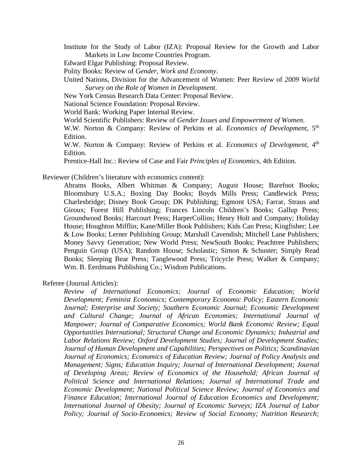Institute for the Study of Labor (IZA): Proposal Review for the Growth and Labor Markets in Low Income Countries Program.

Edward Elgar Publishing: Proposal Review.

Polity Books: Review of *Gender, Work and Economy*.

United Nations, Division for the Advancement of Women: Peer Review of *2009 World Survey on the Role of Women in Development*.

New York Census Research Data Center: Proposal Review.

National Science Foundation: Proposal Review.

World Bank: Working Paper Internal Review.

World Scientific Publishers: Review of *Gender Issues and Empowerment of Women*.

W.W. Norton & Company: Review of Perkins et al. *Economics of Development*, 5<sup>th</sup> Edition.

W.W. Norton & Company: Review of Perkins et al. *Economics of Development*, 4<sup>th</sup> Edition.

Prentice-Hall Inc.: Review of Case and Fair *Principles of Economics*, 4th Edition.

Reviewer (Children's literature with economics content):

Abrams Books, Albert Whitman & Company; August House; Barefoot Books; Bloomsbury U.S.A.; Boxing Day Books; Boyds Mills Press; Candlewick Press; Charlesbridge; Disney Book Group; DK Publishing; Egmont USA; Farrar, Straus and Giroux; Forest Hill Publishing; Frances Lincoln Children's Books; Gallup Press; Groundwood Books; Harcourt Press; HarperCollins; Henry Holt and Company; Holiday House; Houghton Mifflin; Kane/Miller Book Publishers; Kids Can Press; Kingfisher; Lee & Low Books; Lerner Publishing Group; Marshall Cavendish; Mitchell Lane Publishers; Money Savvy Generation; New World Press; NewSouth Books; Peachtree Publishers; Penguin Group (USA); Random House; Scholastic; Simon & Schuster; Simply Read Books; Sleeping Bear Press; Tanglewood Press; Tricycle Press; Walker & Company; Wm. B. Eerdmans Publishing Co.; Wisdom Publications.

Referee (Journal Articles):

*Review of International Economics; Journal of Economic Education; World Development; Feminist Economics; Contemporary Economic Policy; Eastern Economic Journal; Enterprise and Society; Southern Economic Journal; Economic Development and Cultural Change; Journal of African Economies; International Journal of Manpower; Journal of Comparative Economics; World Bank Economic Review; Equal Opportunities International; Structural Change and Economic Dynamics; Industrial and Labor Relations Review; Oxford Development Studies; Journal of Development Studies; Journal of Human Development and Capabilities; Perspectives on Politics; Scandinavian Journal of Economics; Economics of Education Review; Journal of Policy Analysis and Management; Signs; Education Inquiry; Journal of International Development; Journal of Developing Areas; Review of Economics of the Household; African Journal of Political Science and International Relations; Journal of International Trade and Economic Development; National Political Science Review; Journal of Economics and Finance Education; International Journal of Education Economics and Development; International Journal of Obesity; Journal of Economic Surveys; IZA Journal of Labor Policy; Journal of Socio-Economics; Review of Social Economy; Nutrition Research;*